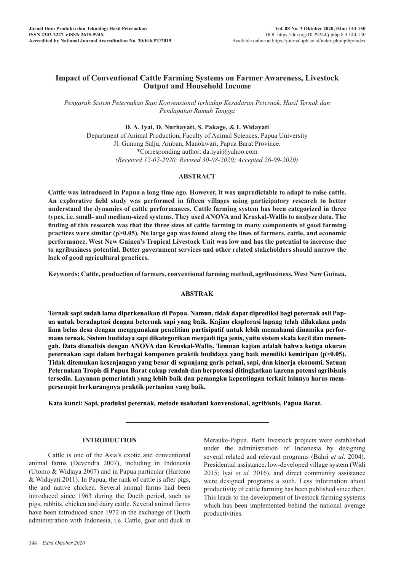# **Impact of Conventional Cattle Farming Systems on Farmer Awareness, Livestock Output and Household Income**

*Pengaruh Sistem Peternakan Sapi Konvensional terhadap Kesadaran Peternak, Hasil Ternak dan Pendapatan Rumah Tangga*

#### **D. A. Iyai, D. Nurhayati, S. Pakage, & I. Widayati**

Department of Animal Production, Faculty of Animal Sciences, Papua University Jl. Gunung Salju, Amban, Manokwari, Papua Barat Province. \*Corresponding author: da.iyai@yahoo.com *(Received 12-07-2020; Revised 30-08-2020; Accepted 26-09-2020)*

#### **ABSTRACT**

**Cattle was introduced in Papua a long time ago. However, it was unpredictable to adapt to raise cattle. An explorative field study was performed in fifteen villages using participatory research to better understand the dynamics of cattle performances. Cattle farming system has been categorized in three types, i.e. small- and medium-sized systems. They used ANOVA and Kruskal-Wallis to analyze data. The finding of this research was that the three sizes of cattle farming in many components of good farming practices were similar (p>0.05). No large gap was found along the lines of farmers, cattle, and economic performance. West New Guinea's Tropical Livestock Unit was low and has the potential to increase due to agribusiness potential. Better government services and other related stakeholders should narrow the lack of good agricultural practices.**

**Keywords: Cattle, production of farmers, conventional farming method, agribusiness, West New Guinea.**

## **ABSTRAK**

**Ternak sapi sudah lama diperkenalkan di Papua. Namun, tidak dapat diprediksi bagi peternak asli Papua untuk beradaptasi dengan beternak sapi yang baik. Kajian eksplorasi lapang telah dilakukan pada lima belas desa dengan menggunakan penelitian partisipatif untuk lebih memahami dinamika performans ternak. Sistem budidaya sapi dikategorikan menjadi tiga jenis, yaitu sistem skala kecil dan menengah. Data dianalisis dengan ANOVA dan Kruskal-Wallis. Temuan kajian adalah bahwa ketiga ukuran peternakan sapi dalam berbagai komponen praktik budidaya yang baik memiliki kemiripan (p>0.05). Tidak ditemukan kesenjangan yang besar di sepanjang garis petani, sapi, dan kinerja ekonomi. Satuan Peternakan Tropis di Papua Barat cukup rendah dan berpotensi ditingkatkan karena potensi agribisnis tersedia. Layanan pemerintah yang lebih baik dan pemangku kepentingan terkait lainnya harus mempersempit berkurangnya praktik pertanian yang baik.**

**Kata kunci: Sapi, produksi peternak, metode usahatani konvensional, agribisnis, Papua Barat.**

#### **INTRODUCTION**

Cattle is one of the Asia's exotic and conventional animal farms (Devendra 2007), including in Indonesia (Utomo & Widjaya 2007) and in Papua particular (Hartono & Widayati 2011). In Papua, the rank of cattle is after pigs, the and native chicken. Several animal farms had been introduced since 1963 during the Ducth period, such as pigs, rabbits, chicken and dairy cattle. Several animal farms have been introduced since 1972 in the exchange of Ducth administration with Indonesia, i.e. Cattle, goat and duck in

Merauke-Papua. Both livestock projects were established under the administration of Indonesia by designing several related and relevant programs (Bahri *et al*. 2004). Presidential assistance, low-developed village system (Widi 2015; Iyai *et al.* 2016), and direct community assistance were designed programs a such. Less information about productivity of cattle farming has been published since then. This leads to the development of livestock farming systems which has been implemented behind the national average productivities.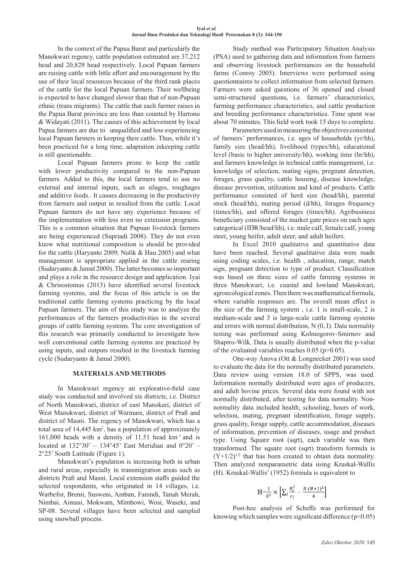In the context of the Papua Barat and particularly the Manokwari regency, cattle population estimated are 37,212 head and 20,829 head respectively. Local Papuan farmers are raising cattle with little effort and encouragement by the use of their local resources because of the third rank places of the cattle for the local Papuan farmers. Their wellbeing is expected to have changed slower than that of non-Papuan ethnic (trans migrants). The cattle that each farmer raises in the Papua Barat province are less than counted by Hartono & Widayati (2011). The causes of this achievement by local Papua farmers are due to unqualified and less experiencing local Papuan farmers in keeping their cattle. Thus, while it's been practiced for a long time, adaptation inkeeping cattle is still questionable.

Local Papuan farmers prone to keep the cattle with lower productivity compared to the non-Papuan farmers. Added to this, the local farmers tend to use no external and internal inputs, such as silages, roughages and additive feeds.. It causes decreasing in the productivity from farmers and output in resulted from the cattle. Local Papuan farmers do not have any experience because of the implementation with less even no extension programs. This is a common situation that Papuan livestock farmers are being experienced (Supriadi 2008). They do not even know what nutritional composition is should be provided for the cattle (Haryanto 2009; Nulik & Hau 2005) and what management is appropriate applied in the cattle rearing (Sudaryanto & Jamal 2000). The latter becomes so important and plays a role in the resource design and application. Iyai & Chrisostomus (2013) have identified several livestock farming systems, and the focus of this article is on the traditional cattle farming systems practicing by the local Papuan farmers. The aim of this study was to analyze the performances of the farmers productivities in the several groups of cattle farming systems. The core investigation of this research was primarily conducted to investigate how well conventional cattle farming systems are practiced by using inputs, and outputs resulted in the livestock farming cycle (Sudaryanto & Jamal 2000).

## **MATERIALS AND METHODS**

In Manokwari regency an explorative-field case study was conducted and involved six districts, i.e. District of North Manokwari, district of east Manokari, district of West Manokwari, district of Warmare, district of Prafi and district of Masni. The regency of Manokwari, which has a total area of  $14,445 \text{ km}^2$ , has a population of approximately 161,000 heads with a density of 11.51 head km-1 and is located at 132°30' – 134°45' East Meridian and 0°20' – 2°25' South Latitude (Figure 1).

Manokwari's population is increasing both in urban and rural areas, especially in transmigration areas such as districts Prafi and Masni. Local extension staffs guided the selected respondents, who originated in 14 villages, i.e. Warbefor, Bremi, Susweni, Amban, Fanindi, Tanah Merah, Nimbai, Aimasi, Mokwam, Mimbowi, Wosi, Waseki, and SP-08. Several villages have been selected and sampled using snowball process.

Study method was Participatory Situation Analysis (PSA) used to gathering data and information from farmers and observing livestock performances on the household farms (Conroy 2005). Interviews were performed using questionnaires to collect information from selected farmers. Farmers were asked questions of 36 opened and closed semi-structured questions, i.e. farmers' characteristics, farming performance characteristics, and cattle production and breeding performance characteristics. Time spent was about 70 minutes. This field work took 15 days to complete.

Parameters used in measuring the objectives consisted of farmers' performances, i.e. ages of households (yr/hh), family size (head/hh), livelihood (types/hh), educational level (basic to higher university/hh), working time (hr/hh), and farmers knowledge in technical cattle management, i.e. knowledge of selection, mating signs, pregnant detection, forages, grass quality, cattle housing, disease knowledge, disease prevention, utilization and kind of products. Cattle performance consisted of herd size (head/hh), parental stock (head/hh), mating period (d/hh), forages frequency (times/hh), and offered forages (times/hh). Agribusiness beneficiary consisted of the market gate prices on each ages categorical (IDR/head/hh), i.e. male calf, female calf, young steer, young heifer, adult steer, and adult heifers.

In Excel 2010 qualitative and quantitative data have been reached. Several qualitative data were made using coding scales, i.e. health , education, range, match sign, pregnant detection to type of product. Classification was based on three sizes of cattle farming systems in three Manokwari, i.e. coastal and lowland Manokwari, agroecological zones. Then there was mathematical formula, where variable responses are. The overall mean effect is the size of the farming system , i.e. 1 is small-scale, 2 is medium-scale and 3 is large-scale cattle farming systems and errors with normal distribution, N (0, I). Data normality testing was performed using Kolmogorov-Smirnov and Shapiro-Wilk. Data is usually distributed when the p-value of the evaluated variables reaches 0.05 (p>0.05).

One-way Anova (Ott & Longnecker 2001) was used to evaluate the data for the normally distributed parameters. Data review using version 18.0 of SPPS, was used. Information normally distributed were ages of producers, and adult bovine prices. Several data were found with not normally distributed, after testing for data normality. Nonnormality data included health, schooling, hours of work, selection, mating, pregnant identification, forage supply, grass quality, forage supply, cattle accommodation, diseases of information, prevention of diseases, usage and product type. Using Square root (sqrt), each variable was then transformed. The square root (sqrt) transform formula is  $(Y+1/2)^{1/2}$  that has been created to obtain data normality. Then analyzed nonparametric data using Kruskal-Wallis (H). Kruskal-Wallis' (1952) formula is equivalent to

$$
H = \frac{1}{S^2} \times \left[ \sum_i \frac{R_i^2}{r_i} - \frac{N (N+1)^2}{4} \right]
$$

Post-hoc analysis of Scheffe was performed for knowing which samples were significant difference  $(p<0.05)$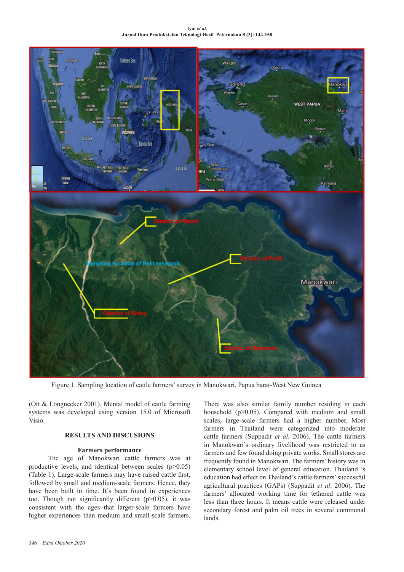**Iyai** *et al.*  **Jurnal Ilmu Produksi dan Teknologi Hasil Peternakan 8 (3): 144-150**



Figure 1. Sampling location of cattle farmers' survey in Manokwari, Papua barat-West New Guinea

(Ott & Longnecker 2001). Mental model of cattle farming systems was developed using version 15.0 of Microsoft Visio.

## **RESULTS AND DISCUSIONS**

#### **Farmers performance**

The age of Manokwari cattle farmers was at productive levels, and identical between scales (p>0.05) (Table 1). Large-scale farmers may have raised cattle first, followed by small and medium-scale farmers. Hence, they have been built in time. It's been found in experiences too. Though not significantly different  $(p>0.05)$ , it was consistent with the ages that larger-scale farmers have higher experiences than medium and small-scale farmers.

There was also similar family number residing in each household (p>0.05). Compared with medium and small scales, large-scale farmers had a higher number. Most farmers in Thailand were categorized into moderate cattle farmers (Suppadit *et al.* 2006). The cattle farmers in Manokwari's ordinary livelihood was restricted to as farmers and few found doing private works. Small stores are frequently found in Manokwari. The farmers' history was in elementary school level of general education. Thailand 's education had effect on Thailand's cattle farmers' successful agricultural practices (GAPs) (Suppadit *et al*. 2006). The farmers' allocated working time for tethered cattle was less than three hours. It means cattle were released under secondary forest and palm oil trees in several communal lands.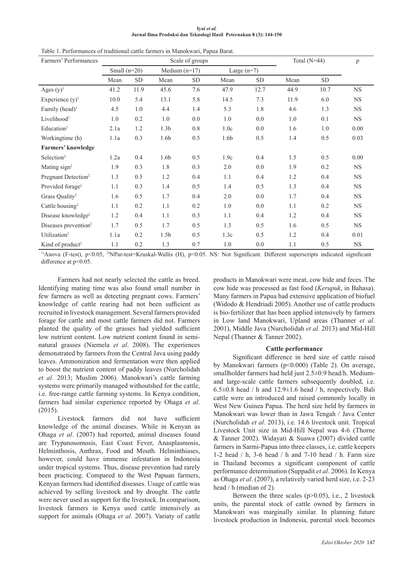| Ivai et al.                                                        |  |  |  |  |  |  |  |  |  |
|--------------------------------------------------------------------|--|--|--|--|--|--|--|--|--|
| Jurnal Ilmu Produksi dan Teknologi Hasil Peternakan 8 (3): 144-150 |  |  |  |  |  |  |  |  |  |

| Farmers' Performances            |                |            | Scale of groups  | Total $(N=44)$ |               | p          |      |            |             |
|----------------------------------|----------------|------------|------------------|----------------|---------------|------------|------|------------|-------------|
|                                  | Small $(n=20)$ |            | Medium $(n=17)$  |                | Large $(n=7)$ |            |      |            |             |
|                                  | Mean           | ${\rm SD}$ | Mean             | <b>SD</b>      | Mean          | ${\rm SD}$ | Mean | ${\rm SD}$ |             |
| Ages $(y)$ <sup>1</sup>          | 41.2           | 11.9       | 45.6             | 7.6            | 47.9          | 12.7       | 44.9 | 10.7       | NS          |
| Experience $(y)$ <sup>1</sup>    | 10.0           | 5.4        | 13.1             | 5.8            | 14.5          | 7.3        | 11.9 | 6.0        | <b>NS</b>   |
| Family (head) <sup>1</sup>       | 4.5            | 1.0        | 4.4              | 1.4            | 5.3           | 1.8        | 4.6  | 1.3        | <b>NS</b>   |
| Livelihood <sup>2</sup>          | 1.0            | 0.2        | 1.0              | 0.0            | 1.0           | 0.0        | 1.0  | 0.1        | <b>NS</b>   |
| Education <sup>2</sup>           | 2.1a           | 1.2        | 1.3 <sub>b</sub> | 0.8            | 1.0c          | 0.0        | 1.6  | 1.0        | 0.00        |
| Workingtime (h)                  | 1.1a           | 0.3        | 1.6b             | 0.5            | 1.6b          | 0.5        | 1.4  | 0.5        | 0.03        |
| <b>Farmers' knowledge</b>        |                |            |                  |                |               |            |      |            |             |
| $S^{e}$                          | 1.2a           | 0.4        | 1.6b             | 0.5            | 1.9c          | 0.4        | 1.5  | 0.5        | 0.00        |
| Mating sign <sup>2</sup>         | 1.9            | 0.3        | 1.8              | 0.3            | 2.0           | 0.0        | 1.9  | $0.2\,$    | NS          |
| Pregnant Detection <sup>2</sup>  | 1.3            | 0.5        | 1.2              | 0.4            | 1.1           | 0.4        | 1.2  | 0.4        | $_{\rm NS}$ |
| Provided forage <sup>2</sup>     | 1.1            | 0.3        | 1.4              | 0.5            | 1.4           | 0.5        | 1.3  | 0.4        | <b>NS</b>   |
| Grass Quality <sup>2</sup>       | 1.6            | 0.5        | 1.7              | 0.4            | 2.0           | 0.0        | 1.7  | 0.4        | <b>NS</b>   |
| Cattle housing <sup>2</sup>      | 1.1            | 0.2        | 1.1              | 0.2            | 1.0           | 0.0        | 1.1  | 0.2        | <b>NS</b>   |
| Disease knowledge <sup>2</sup>   | 1.2            | 0.4        | 1.1              | 0.3            | 1.1           | 0.4        | 1.2  | 0.4        | <b>NS</b>   |
| Diseases prevention <sup>2</sup> | 1.7            | 0.5        | 1.7              | 0.5            | 1.3           | 0.5        | 1.6  | 0.5        | <b>NS</b>   |
| Utilization <sup>2</sup>         | 1.1a           | 0.2        | 1.5 <sub>b</sub> | 0.5            | 1.3c          | 0.5        | 1.2  | 0.4        | 0.01        |
| Kind of product <sup>2</sup>     | 1.1            | 0.2        | 1.3              | 0.7            | 1.0           | 0.0        | 1.1  | 0.5        | <b>NS</b>   |

Table 1. Performances of traditional cattle farmers in Manokwari, Papua Barat.

<sup>1)</sup>Anova (F-test), p<0.05, <sup>2)</sup>NPar-test=Kruskal-Wallis (H), p<0.05. NS: Not Significant. Different superscripts indicated significant difference at p<0.05.

Farmers had not nearly selected the cattle as breed. Identifying mating time was also found small number in few farmers as well as detecting pregnant cows. Farmers' knowledge of cattle rearing had not been sufficient as recruited in livestock management. Several farmers provided forage for cattle and most cattle farmers did not. Farmers planted the quality of the grasses had yielded sufficient low nutrient content. Low nutrient content found in seminatural grasses (Niemela *et al*. 2008). The experiences demonstrated by farmers from the Central Java using paddy leaves. Ammonization and fermentation were then applied to boost the nutrient content of paddy leaves (Nurcholidah *et al*. 2013; Muslim 2006). Manokwari's cattle farming systems were primarily managed withoutshed for the cattle, i.e. free-range cattle farming systems. In Kenya condition, farmers had similar experience reported by Ohaga *et al*. (2015).

Livestock farmers did not have sufficient knowledge of the animal diseases. While in Kenyan as Ohaga *et al*. (2007) had reported, animal diseases found are Trypanosomosis, East Coast Fever, Anasplasmosis, Helminthosis, Anthrax, Food and Mouth. Helminthiases, however, could have immense infestation in Indonesia under tropical systems. Thus, disease prevention had rarely been practicing. Compared to the West Papuan farmers, Kenyan farmers had identified diseases. Usage of cattle was achieved by selling livestock and by drought. The cattle were never used as support for the livestock. In comparison, livestock farmers in Kenya used cattle intensively as support for animals (Ohaga *et al.* 2007). Variaty of cattle

products in Manokwari were meat, cow hide and feces. The cow hide was processed as fast food (*Kerupuk*, in Bahasa). Many farmers in Papua had extensive application of biofuel (Widodo & Hendriadi 2005). Another use of cattle products is bio-fertilizer that has been applied intensively by farmers in Low land Manokwari, Upland areas (Thanner *et al*. 2001), Middle Java (Nurcholidah *et al.* 2013) and Mid-Hill Nepal (Thanner & Tanner 2002).

#### **Cattle performance**

Significant difference in herd size of cattle raised by Manokwari farmers (p<0.000) (Table 2). On average, smallholder farmers had held just 2.5 $\pm$ 0.9 head/h. Mediumand large-scale cattle farmers subsequently doubled, i.e. 6.5±0.8 head / h and 12.9±1.6 head / h, respectively. Bali cattle were an introduced and raised commonly locally in West New Guinea Papua. The herd size held by farmers in Manokwari was lower than in Jawa Tengah / Java Center (Nurcholidah *et al*. 2013), i.e. 14.6 livestock unit. Tropical Livestock Unit size in Mid-Hill Nepal was 4-6 (Thorne & Tanner 2002). Widayati & Suawa (2007) divided cattle farmers in Sarmi-Papua into three classes, i.e. cattle keepers 1-2 head / h, 3-6 head / h and 7-10 head / h. Farm size in Thailand becomes a significant component of cattle performance determination (Suppadit *et al*. 2006). In Kenya as Ohaga *et al*. (2007), a relatively varied herd size, i.e. 2-23 head / h (median of 2).

Between the three scales  $(p>0.05)$ , i.e., 2 livestock units, the parental stock of cattle owned by farmers in Manokwari was marginally similar. In planning future livestock production in Indonesia, parental stock becomes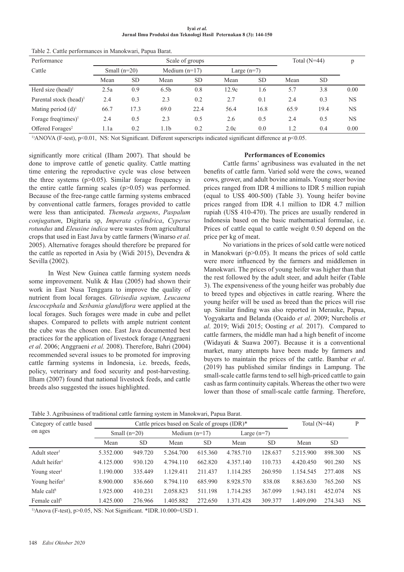**Iyai** *et al.*  **Jurnal Ilmu Produksi dan Teknologi Hasil Peternakan 8 (3): 144-150**

| Performance                        | Scale of groups |           |                  |           |               |           |      | Total $(N=44)$ |           |
|------------------------------------|-----------------|-----------|------------------|-----------|---------------|-----------|------|----------------|-----------|
| Cattle                             | Small $(n=20)$  |           | Medium $(n=17)$  |           | Large $(n=7)$ |           |      |                |           |
|                                    | Mean            | <b>SD</b> | Mean             | <b>SD</b> | Mean          | <b>SD</b> | Mean | <b>SD</b>      |           |
| Herd size (head) <sup>1</sup>      | 2.5a            | 0.9       | 6.5 <sub>b</sub> | 0.8       | 12.9c         | 1.6       | 5.7  | 3.8            | 0.00      |
| Parental stock (head) <sup>1</sup> | 2.4             | 0.3       | 2.3              | 0.2       | 2.7           | 0.1       | 2.4  | 0.3            | <b>NS</b> |
| Mating period $(d)^1$              | 66.7            | 17.3      | 69.0             | 22.4      | 56.4          | 16.8      | 65.9 | 19.4           | <b>NS</b> |
| Forage freq $(\text{times})^1$     | 2.4             | 0.5       | 2.3              | 0.5       | 2.6           | 0.5       | 2.4  | 0.5            | <b>NS</b> |
| Offered Forages <sup>2</sup>       | 1.1a            | 0.2       | 1.1b             | 0.2       | 2.0c          | 0.0       | 1.2  | 0.4            | 0.00      |
|                                    |                 |           |                  |           |               |           |      |                |           |

Table 2. Cattle performances in Manokwari, Papua Barat.

<sup>1)</sup>ANOVA (F-test), p<0.01, NS: Not Significant. Different superscripts indicated significant difference at p<0.05.

significantly more critical (Ilham 2007). That should be done to improve cattle of genetic quality. Cattle matting time entering the reproductive cycle was close between the three systems  $(p>0.05)$ . Similar forage frequency in the entire cattle farming scales  $(p>0.05)$  was performed. Because of the free-range cattle farming systems embraced by conventional cattle farmers, forages provided to cattle were less than anticipated. *Themeda arguens*, *Paspalum conjugatum*, Digitaria sp, *Imperata cylindrica*, *Cyperus rotundus* and *Eleusine indica* were wastes from agricultural crops that used in East Java by cattle farmers (Winarso *et al.* 2005). Alternative forages should therefore be prepared for the cattle as reported in Asia by (Widi 2015), Devendra & Sevilla (2002).

In West New Guinea cattle farming system needs some improvement. Nulik & Hau (2005) had shown their work in East Nusa Tenggara to improve the quality of nutrient from local forages. *Glirisedia sepium, Leucaena leucocephala* and *Sesbania glandiflora* were applied at the local forages. Such forages were made in cube and pellet shapes. Compared to pellets with ample nutrient content the cube was the chosen one. East Java documented best practices for the application of livestock forage (Anggraeni *et al*. 2006; Anggraeni *et al.* 2008). Therefore, Bahri (2004) recommended several issues to be promoted for improving cattle farming systems in Indonesia, i.e. breeds, feeds, policy, veterinary and food security and post-harvesting. Ilham (2007) found that national livestock feeds, and cattle breeds also suggested the issues highlighted.

#### **Performances of Economics**

Cattle farms' agribusiness was evaluated in the net benefits of cattle farm. Varied sold were the cows, weaned cows, grower, and adult bovine animals. Young steer bovine prices ranged from IDR 4 millions to IDR 5 million rupiah (equal to US\$ 400-500) (Table 3). Young heifer bovine prices ranged from IDR 4.1 million to IDR 4.7 million rupiah (US\$ 410-470). The prices are usually rendered in Indonesia based on the basic mathematical formulae, i.e. Prices of cattle equal to cattle weight 0.50 depend on the price per kg of meat.

No variations in the prices of sold cattle were noticed in Manokwari ( $p$  $>$ 0.05). It means the prices of sold cattle were more influenced by the farmers and middlemen in Manokwari. The prices of young heifer was higher than that the rest followed by the adult steer, and adult heifer (Table 3). The expensiveness of the young heifer was probably due to breed types and objectives in cattle rearing. Where the young heifer will be used as breed than the prices will rise up. Similar finding was also reported in Merauke, Papua, Yogyakarta and Belanda (Ocaido *et al*. 2009; Nurcholis *et al*. 2019; Widi 2015; Oosting *et al.* 2017). Compared to cattle farmers, the middle man had a high benefit of income (Widayati & Suawa 2007). Because it is a conventional market, many attempts have been made by farmers and buyers to maintain the prices of the cattle. Bambar *et al*. (2019) has published similar findings in Lampung. The small-scale cattle farms tend to sell high-priced cattle to gain cash as farm continuity capitals. Whereas the other two were lower than those of small-scale cattle farming. Therefore,

Table 3. Agribusiness of traditional cattle farming system in Manokwari, Papua Barat.

| Category of cattle based  |                | Cattle prices based on Scale of groups (IDR)* | Total $(N=44)$  |           | D             |           |           |           |           |
|---------------------------|----------------|-----------------------------------------------|-----------------|-----------|---------------|-----------|-----------|-----------|-----------|
| on ages                   | Small $(n=20)$ |                                               | Medium $(n=17)$ |           | Large $(n=7)$ |           |           |           |           |
|                           | Mean           | <b>SD</b>                                     | Mean            | <b>SD</b> | Mean          | <b>SD</b> | Mean      | <b>SD</b> |           |
| Adult steer <sup>1</sup>  | 5.352.000      | 949.720                                       | 5.264.700       | 615.360   | 4.785.710     | 128.637   | 5.215.900 | 898.300   | <b>NS</b> |
| Adult heifer $l$          | 4.125.000      | 930.120                                       | 4.794.110       | 662.820   | 4.357.140     | 110.733   | 4.420.450 | 901.280   | <b>NS</b> |
| Young steer <sup>1</sup>  | 1.190.000      | 335.449                                       | 1.129.411       | 211.437   | 1.114.285     | 260.950   | 1.154.545 | 277.408   | <b>NS</b> |
| Young heifer <sup>1</sup> | 8.900.000      | 836.660                                       | 8.794.110       | 685.990   | 8.928.570     | 838.08    | 8.863.630 | 765.260   | <b>NS</b> |
| Male calf <sup>1</sup>    | 1.925.000      | 410.231                                       | 2.058.823       | 511.198   | 1.714.285     | 367.099   | 1.943.181 | 452.074   | <b>NS</b> |
| Female calf <sup>1</sup>  | .425.000       | 276.966                                       | 1.405.882       | 272.650   | 1.371.428     | 309.377   | 1.409.090 | 274.343   | <b>NS</b> |

<sup>1)</sup>Anova (F-test),  $p > 0.05$ , NS: Not Significant. \*IDR.10.000=USD 1.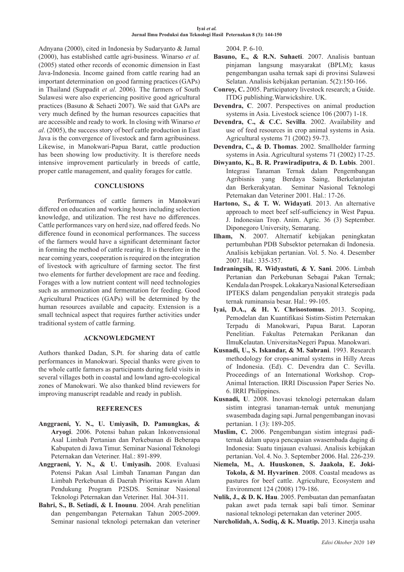Adnyana (2000), cited in Indonesia by Sudaryanto & Jamal (2000), has established cattle agri-business. Winarso *et al.* (2005) stated other records of economic dimension in East Java-Indonesia. Income gained from cattle rearing had an important determination on good farming practices (GAPs) in Thailand (Suppadit *et al*. 2006). The farmers of South Sulawesi were also experiencing positive good agricultural practices (Basuno & Sehaeti 2007). We said that GAPs are very much defined by the human resources capacities that are accessible and ready to work. In closing with Winarso *et al*. (2005), the success story of beef cattle production in East Java is the convergence of livestock and farm agribusiness. Likewise, in Manokwari-Papua Barat, cattle production has been showing low productivity. It is therefore needs intensive improvement particularly in breeds of cattle, proper cattle management, and quality forages for cattle.

## **CONCLUSIONS**

Performances of cattle farmers in Manokwari differed on education and working hours including selection knowledge, and utilization. The rest have no differences. Cattle performances vary on herd size, nad offered feeds. No difference found in economical performances. The success of the farmers would have a significant determinant factor in forming the method of cattle rearing. It is therefore in the near coming years, cooperation is required on the integration of livestock with agriculture of farming sector. The first two elements for further development are race and feeding. Forages with a low nutrient content will need technologies such as ammonization and fermentation for feeding. Good Agricultural Practices (GAPs) will be determined by the human resources available and capacity. Extension is a small technical aspect that requires further activities under traditional system of cattle farming.

### **ACKNOWLEDGMENT**

Authors thanked Dadan, S.Pt. for sharing data of cattle performances in Manokwari. Special thanks were given to the whole cattle farmers as participants during field visits in several villages both in coastal and lowland agro-ecological zones of Manokwari. We also thanked blind reviewers for improving manuscript readable and ready in publish.

#### **REFERENCES**

- **Anggraeni, Y. N., U. Umiyasih, D. Pamungkas, & Aryogi**. 2006. Potensi bahan pakan Inkonvensional Asal Limbah Pertanian dan Perkebunan di Beberapa Kabupaten di Jawa Timur. Seminar Nasional Teknologi Peternakan dan Veteriner. Hal.: 891-899.
- **Anggraeni, Y. N., & U. Umiyasih.** 2008. Evaluasi Potensi Pakan Asal Limbah Tanaman Pangan dan Limbah Perkebunan di Daerah Prioritas Kawin Alam Pendukung Program P2SDS. Seminar Nasional Teknologi Peternakan dan Veteriner. Hal. 304-311.
- **Bahri, S., B. Setiadi, & I. Inounu**. 2004. Arah penelitian dan pengembangan Peternakan Tahun 2005-2009. Seminar nasional teknologi peternakan dan veteriner

2004. P. 6-10.

- **Basuno, E., & R.N. Suhaeti**. 2007. Analisis bantuan pinjaman langsung masyarakat (BPLM); kasus pengembangan usaha ternak sapi di provinsi Sulawesi Selatan. Analisis kebijakan pertanian. 5(2):150-166.
- **Conroy, C.** 2005. Participatory livestock research; a Guide. ITDG publishing.Warwickshire. UK.
- **Devendra, C**. 2007. Perspectives on animal production systems in Asia. Livestock science 106 (2007) 1-18.
- **Devendra, C., & C.C. Sevilla**. 2002. Availability and use of feed resources in crop animal systems in Asia. Agricultural systems 71 (2002) 59-73.
- **Devendra, C., & D. Thomas**. 2002. Smallholder farming systems in Asia. Agricultural systems 71 (2002) 17-25.
- **Diwyanto, K., B. R. Prawiradiputra, & D. Lubis**. 2001. Integrasi Tanaman Ternak dalam Pengembangan Agribisnis yang Berdaya Saing, Berkelanjutan dan Berkerakyatan. Seminar Nasional Teknologi Peternakan dan Veteriner 2001. Hal.: 17-26.
- **Hartono, S., & T. W. Widayati**. 2013. An alternative approach to meet beef self-sufficiency in West Papua. J. Indonesian Trop. Anim. Agric. 36 (3) September. Diponegoro University, Semarang.
- **Ilham, N**. 2007. Alternatif kebijakan peningkatan pertumbuhan PDB Subsektor peternakan di Indonesia. Analisis kebijakan pertanian. Vol. 5. No. 4. Desember 2007. Hal.: 335-357.
- **Indraningsih, R. Widyastuti, & Y. Sani**. 2006. Limbah Pertanian dan Perkebunan Sebagai Pakan Ternak; Kendala dan Prospek. Lokakarya Nasional Ketersediaan IPTEKS dalam pengendalian penyakit strategis pada ternak ruminansia besar. Hal.: 99-105.
- **Iyai, D.A., & H. Y. Chrisostomus**. 2013. Scoping, Pemodelan dan Kuantifikasi Sistim-Sistim Peternakan Terpadu di Manokwari, Papua Barat. Laporan Penelitian. Fakultas Peternakan Perikanan dan IlmuKelautan. UniversitasNegeri Papua. Manokwari.
- **Kusnadi, U., S. Iskandar, & M. Sabrani**. 1993. Research methodology for crops-animal systems in Hilly Areas of Indonesia. (Ed). C. Devendra dan C. Sevilla. Proceedings of an International Workshop. Crop-Animal Interaction. IRRI Discussion Paper Series No. 6. IRRI Philippines.
- **Kusnadi, U**. 2008. Inovasi teknologi peternakan dalam sistim integrasi tanaman-ternak untuk menunjang swasembada daging sapi. Jurnal pengembangan inovasi pertanian. 1 (3): 189-205.
- **Muslim, C.** 2006. Pengembangan sistim integrasi paditernak dalam upaya pencapaian swasembada daging di Indonesia: Suatu tinjauan evaluasi. Analisis kebijakan pertanian. Vol. 4. No. 3. September 2006. Hal. 226-239.
- **Niemela, M., A. Huuskonen, S. Jaakola, E. Joki-Tokola, & M. Hyvarinen**. 2008. Coastal meadows as pastures for beef cattle. Agriculture, Ecosystem and Environment 124 (2008) 179-186.
- **Nulik, J., & D. K. Hau**. 2005. Pembuatan dan pemanfaatan pakan awet pada ternak sapi bali timor. Seminar nasional teknologi peternakan dan veteriner 2005.
- **Nurcholidah, A. Sodiq, & K. Muatip.** 2013. Kinerja usaha